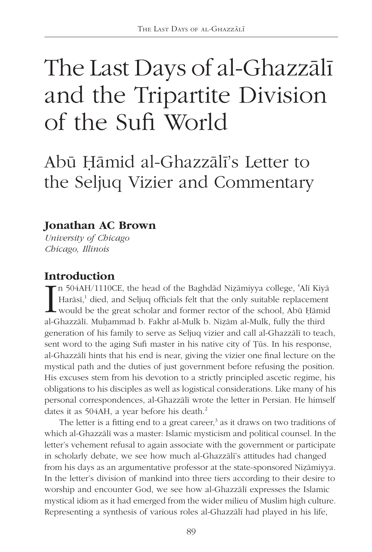# The Last Days of al-Ghazzālī and the Tripartite Division of the Sufi World

Abu Hamid al-Ghazzali's Letter to the Seljuq Vizier and Commentary

## **Jonathan AC Brown**

*University of Chicago Chicago, Illinois*

## **Introduction**

 $\prod_{\Delta \subseteq \mathcal{C}}$ n 504AH/1110CE, the head of the Baghdad Nizamiyya college, 'Ali Kiya Harāsī,<sup>1</sup> died, and Seljuq officials felt that the only suitable replacement would be the great scholar and former rector of the school, Abu Hamid al-Ghazzali. Muhammad b. Fakhr al-Mulk b. Nizam al-Mulk, fully the third generation of his family to serve as Seljuq vizier and call al-Ghazzali to teach, sent word to the aging Sufi master in his native city of Tūs. In his response, al-Ghazzali hints that his end is near, giving the vizier one final lecture on the mystical path and the duties of just government before refusing the position. His excuses stem from his devotion to a strictly principled ascetic regime, his obligations to his disciples as well as logistical considerations. Like many of his personal correspondences, al-Ghazzali wrote the letter in Persian. He himself dates it as 504AH, a year before his death.<sup>2</sup>

The letter is a fitting end to a great career,<sup>3</sup> as it draws on two traditions of which al-Ghazzali was a master: Islamic mysticism and political counsel. In the letter's vehement refusal to again associate with the government or participate in scholarly debate, we see how much al-Ghazzali's attitudes had changed from his days as an argumentative professor at the state-sponsored Nizamiyya. In the letter's division of mankind into three tiers according to their desire to worship and encounter God, we see how al-Ghazzali expresses the Islamic mystical idiom as it had emerged from the wider milieu of Muslim high culture. Representing a synthesis of various roles al-Ghazzali had played in his life,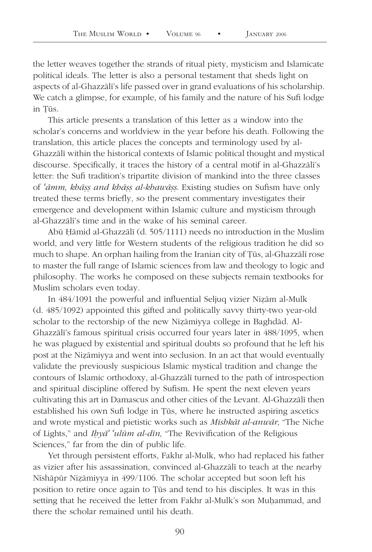the letter weaves together the strands of ritual piety, mysticism and Islamicate political ideals. The letter is also a personal testament that sheds light on aspects of al-Ghazzali's life passed over in grand evaluations of his scholarship. We catch a glimpse, for example, of his family and the nature of his Sufi lodge in Tūs.

This article presents a translation of this letter as a window into the scholar's concerns and worldview in the year before his death. Following the translation, this article places the concepts and terminology used by al-Ghazzali within the historical contexts of Islamic political thought and mystical discourse. Specifically, it traces the history of a central motif in al-Ghazzali's letter: the Sufi tradition's tripartite division of mankind into the three classes of "*amm*, *khass and khass al-khawass*. Existing studies on Sufism have only treated these terms briefly, so the present commentary investigates their emergence and development within Islamic culture and mysticism through al-Ghazzali's time and in the wake of his seminal career.

Abu Hamid al-Ghazzali (d. 505/1111) needs no introduction in the Muslim world, and very little for Western students of the religious tradition he did so much to shape. An orphan hailing from the Iranian city of Tus, al-Ghazzali rose to master the full range of Islamic sciences from law and theology to logic and philosophy. The works he composed on these subjects remain textbooks for Muslim scholars even today.

In 484/1091 the powerful and influential Seljuq vizier Nizam al-Mulk (d. 485/1092) appointed this gifted and politically savvy thirty-two year-old scholar to the rectorship of the new Nizamiyya college in Baghdad. Al-Ghazzali's famous spiritual crisis occurred four years later in 488/1095, when he was plagued by existential and spiritual doubts so profound that he left his post at the Nizamiyya and went into seclusion. In an act that would eventually validate the previously suspicious Islamic mystical tradition and change the contours of Islamic orthodoxy, al-Ghazzali turned to the path of introspection and spiritual discipline offered by Sufism. He spent the next eleven years cultivating this art in Damascus and other cities of the Levant. Al-Ghazzali then established his own Sufi lodge in Tūs, where he instructed aspiring ascetics and wrote mystical and pietistic works such as *Mishkat al-anwar*, "The Niche of Lights," and *Ihya*" "*ulum al-din*, "The Revivification of the Religious Sciences," far from the din of public life.

Yet through persistent efforts, Fakhr al-Mulk, who had replaced his father as vizier after his assassination, convinced al-Ghazzali to teach at the nearby Nishapur Nizamiyya in 499/1106. The scholar accepted but soon left his position to retire once again to Tus and tend to his disciples. It was in this setting that he received the letter from Fakhr al-Mulk's son Muhammad, and there the scholar remained until his death.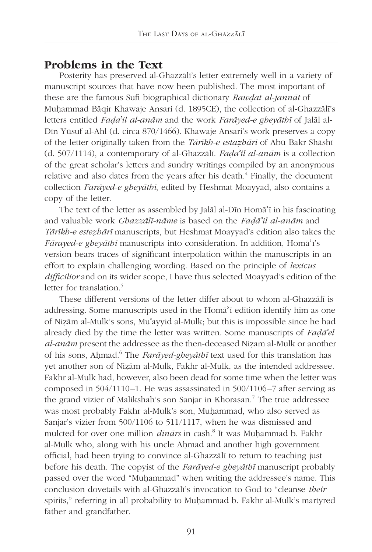## **Problems in the Text**

Posterity has preserved al-Ghazzali's letter extremely well in a variety of manuscript sources that have now been published. The most important of these are the famous Sufi biographical dictionary *Rawdat al-jannat* of Muhammad Baqir Khawaje Ansari (d. 1895CE), the collection of al-Ghazzali's letters entitled *Fada*"*il al-anam* and the work *Farayed-e gheyathi* of Jalal al-Dīn Yūsuf al-Ahl (d. circa 870/1466). Khawaje Ansari's work preserves a copy of the letter originally taken from the *Tarikh-e estazhari* of Abu Bakr Shashi (d. 507/1114), a contemporary of al-Ghazzali. *Fada*"*il al-anam* is a collection of the great scholar's letters and sundry writings compiled by an anonymous relative and also dates from the years after his death. $4$  Finally, the document collection *Farayed-e gheyathi*, edited by Heshmat Moayyad, also contains a copy of the letter.

The text of the letter as assembled by Jalal al-Din Homa'i in his fascinating and valuable work *Ghazzali-name* is based on the *Fada*"*il al-anam* and *Tarikh-e estezhari* manuscripts, but Heshmat Moayyad's edition also takes the *Farayed-e gheyathi* manuscripts into consideration. In addition, Homa'i's version bears traces of significant interpolation within the manuscripts in an effort to explain challenging wording. Based on the principle of *lexicus difficilior* and on its wider scope, I have thus selected Moayyad's edition of the letter for translation.<sup>5</sup>

These different versions of the letter differ about to whom al-Ghazzali is addressing. Some manuscripts used in the Homa'i edition identify him as one of Nizam al-Mulk's sons, Mu'ayyid al-Mulk; but this is impossible since he had already died by the time the letter was written. Some manuscripts of *Fada*"*el al-anam* present the addressee as the then-deceased Nizam al-Mulk or another of his sons, Ahmad.6 The *Farayed-gheyathi* text used for this translation has yet another son of Nizam al-Mulk, Fakhr al-Mulk, as the intended addressee. Fakhr al-Mulk had, however, also been dead for some time when the letter was composed in 504/1110–1. He was assassinated in 500/1106–7 after serving as the grand vizier of Malikshah's son Sanjar in Khorasan.<sup>7</sup> The true addressee was most probably Fakhr al-Mulk's son, Muhammad, who also served as Sanjar's vizier from 500/1106 to 511/1117, when he was dismissed and mulcted for over one million *dinars* in cash.8 It was Muhammad b. Fakhr al-Mulk who, along with his uncle Ahmad and another high government official, had been trying to convince al-Ghazzali to return to teaching just before his death. The copyist of the *Farayed-e gheyathi* manuscript probably passed over the word "Muhammad" when writing the addressee's name. This conclusion dovetails with al-Ghazzali's invocation to God to "cleanse *their* spirits," referring in all probability to Muhammad b. Fakhr al-Mulk's martyred father and grandfather.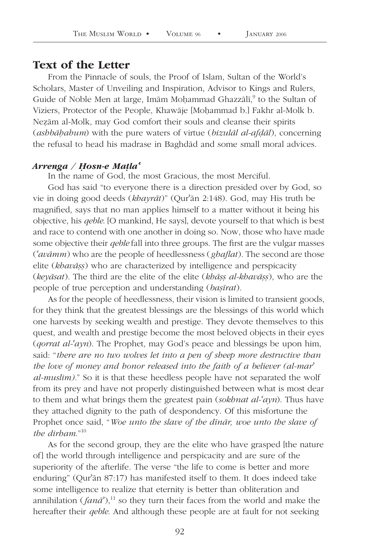### **Text of the Letter**

From the Pinnacle of souls, the Proof of Islam, Sultan of the World's Scholars, Master of Unveiling and Inspiration, Advisor to Kings and Rulers, Guide of Noble Men at large, Imām Moḥammad Ghazzālī,<sup>9</sup> to the Sultan of Viziers, Protector of the People, Khawaje [Mohammad b.] Fakhr al-Molk b. Nezam al-Molk, may God comfort their souls and cleanse their spirits (*ashbahahum*) with the pure waters of virtue (*bizulal al-afdal*), concerning the refusal to head his madrase in Baghdad and some small moral advices.

#### *Arrenga / Hosn-e Matla[*

In the name of God, the most Gracious, the most Merciful.

God has said "to everyone there is a direction presided over by God, so vie in doing good deeds (*khayrat*)" (Qur'an 2:148). God, may His truth be magnified, says that no man applies himself to a matter without it being his objective, his *qeble*. [O mankind, He says], devote yourself to that which is best and race to contend with one another in doing so. Now, those who have made some objective their *qeble* fall into three groups. The first are the vulgar masses ("*avamm*) who are the people of heedlessness (*ghaflat*). The second are those elite (*khavass*) who are characterized by intelligence and perspicacity (*keyasat*). The third are the elite of the elite (*khass al-khavass*), who are the people of true perception and understanding (*basirat*).

As for the people of heedlessness, their vision is limited to transient goods, for they think that the greatest blessings are the blessings of this world which one harvests by seeking wealth and prestige. They devote themselves to this quest, and wealth and prestige become the most beloved objects in their eyes (*qorrat al-*"*ayn*). The Prophet, may God's peace and blessings be upon him, said: "*there are no two wolves let into a pen of sheep more destructive than the love of money and honor released into the faith of a believer (al-mar" al-muslim).*" So it is that these heedless people have not separated the wolf from its prey and have not properly distinguished between what is most dear to them and what brings them the greatest pain (*sokhnat al-'ayn*). Thus have they attached dignity to the path of despondency. Of this misfortune the Prophet once said, "*Woe unto the slave of the dinar, woe unto the slave of the dirham*."10

As for the second group, they are the elite who have grasped [the nature of] the world through intelligence and perspicacity and are sure of the superiority of the afterlife. The verse "the life to come is better and more enduring" (Qur'an 87:17) has manifested itself to them. It does indeed take some intelligence to realize that eternity is better than obliteration and annihilation ( $fan\bar{a}$ <sup>"</sup>),<sup>11</sup> so they turn their faces from the world and make the hereafter their *qeble*. And although these people are at fault for not seeking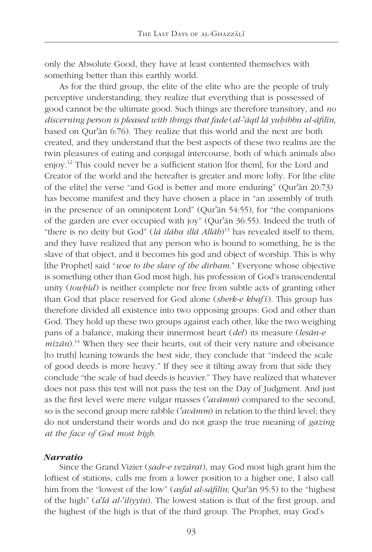only the Absolute Good, they have at least contented themselves with something better than this earthly world.

As for the third group, the elite of the elite who are the people of truly perceptive understanding, they realize that everything that is possessed of good cannot be the ultimate good. Such things are therefore transitory, and *no discerning person is pleased with things that fade* (*al-*"*aqil la yuhibbu al-afilin*, based on Qur'an 6:76). They realize that this world and the next are both created, and they understand that the best aspects of these two realms are the twin pleasures of eating and conjugal intercourse, both of which animals also enjoy.12 This could never be a sufficient station [for them], for the Lord and Creator of the world and the hereafter is greater and more lofty. For [the elite of the elite] the verse "and God is better and more enduring" (Qur'an 20:73) has become manifest and they have chosen a place in "an assembly of truth in the presence of an omnipotent Lord" (Qur'an 54:55), for "the companions of the garden are ever occupied with joy" (Qur'an 36:55). Indeed the truth of "there is no deity but God" (*la ilaha illa Allah*) <sup>13</sup> has revealed itself to them, and they have realized that any person who is bound to something, he is the slave of that object, and it becomes his god and object of worship. This is why [the Prophet] said "*woe to the slave of the dirham*." Everyone whose objective is something other than God most high, his profession of God's transcendental unity (*towhid*) is neither complete nor free from subtle acts of granting other than God that place reserved for God alone (*sherk-e khaf i*). This group has therefore divided all existence into two opposing groups: God and other than God. They hold up these two groups against each other, like the two weighing pans of a balance, making their innermost heart (*del*) its measure (*lesan-e mizan*).14 When they see their hearts, out of their very nature and obeisance [to truth] leaning towards the best side, they conclude that "indeed the scale of good deeds is more heavy." If they see it tilting away from that side they conclude "the scale of bad deeds is heavier." They have realized that whatever does not pass this test will not pass the test on the Day of Judgment. And just as the first level were mere vulgar masses ("*avamm*) compared to the second, so is the second group mere rabble ("*avamm*) in relation to the third level; they do not understand their words and do not grasp the true meaning of *gazing at the face of God most high*.

#### *Narratio*

Since the Grand Vizier (*sadr-e vezarat*), may God most high grant him the loftiest of stations, calls me from a lower position to a higher one, I also call him from the "lowest of the low" (*asfal al-safilin*; Qur'an 95:5) to the "highest of the high"  $(a'\bar{a} aI - \bar{i}\bar{i}\bar{i}\gamma\gamma\bar{i}\gamma)$ . The lowest station is that of the first group, and the highest of the high is that of the third group. The Prophet, may God's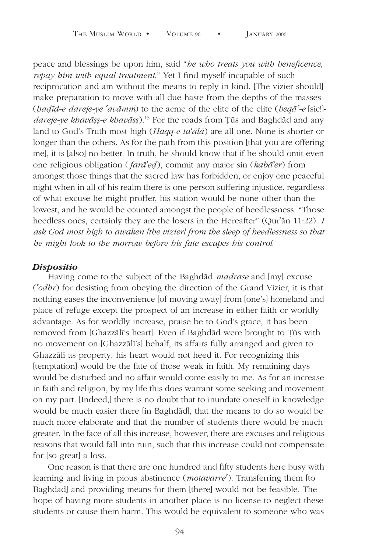peace and blessings be upon him, said "*he who treats you with beneficence, repay him with equal treatment*." Yet I find myself incapable of such reciprocation and am without the means to reply in kind. [The vizier should] make preparation to move with all due haste from the depths of the masses (*hadid-e dareje-ye* "*avamm*) to the acme of the elite of the elite (*beqa*"*-e* [sic!] *dareje-ye khavass-e khavass*).15 For the roads from Tus and Baghdad and any land to God's Truth most high (*Haqq-e ta*"*ala*) are all one. None is shorter or longer than the others. As for the path from this position [that you are offering me], it is [also] no better. In truth, he should know that if he should omit even one religious obligation (*fara*"*ed* ), commit any major sin (*kaba*"*er*) from amongst those things that the sacred law has forbidden, or enjoy one peaceful night when in all of his realm there is one person suffering injustice, regardless of what excuse he might proffer, his station would be none other than the lowest, and he would be counted amongst the people of heedlessness. "Those heedless ones, certainly they are the losers in the Hereafter" (Qur'an 11:22). *I ask God most high to awaken [the vizier] from the sleep of heedlessness so that he might look to the morrow before his fate escapes his control*.

#### *Dispositio*

Having come to the subject of the Baghdad *madrase* and [my] excuse ("*odhr*) for desisting from obeying the direction of the Grand Vizier, it is that nothing eases the inconvenience [of moving away] from [one's] homeland and place of refuge except the prospect of an increase in either faith or worldly advantage. As for worldly increase, praise be to God's grace, it has been removed from [Ghazzali's heart]. Even if Baghdad were brought to Tus with no movement on [Ghazzali's] behalf, its affairs fully arranged and given to Ghazzali as property, his heart would not heed it. For recognizing this [temptation] would be the fate of those weak in faith. My remaining days would be disturbed and no affair would come easily to me. As for an increase in faith and religion, by my life this does warrant some seeking and movement on my part. [Indeed,] there is no doubt that to inundate oneself in knowledge would be much easier there [in Baghdad], that the means to do so would be much more elaborate and that the number of students there would be much greater. In the face of all this increase, however, there are excuses and religious reasons that would fall into ruin, such that this increase could not compensate for [so great] a loss.

One reason is that there are one hundred and fifty students here busy with learning and living in pious abstinence (*motavarre*"). Transferring them [to Baghdād] and providing means for them [there] would not be feasible. The hope of having more students in another place is no license to neglect these students or cause them harm. This would be equivalent to someone who was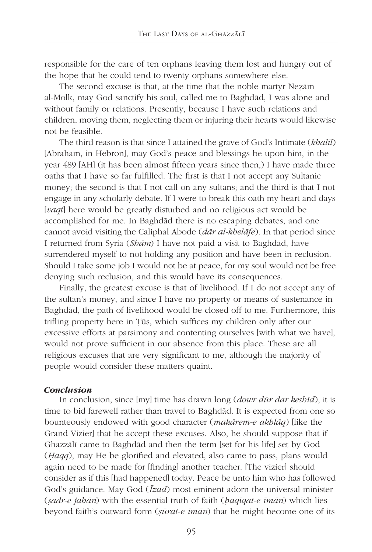responsible for the care of ten orphans leaving them lost and hungry out of the hope that he could tend to twenty orphans somewhere else.

The second excuse is that, at the time that the noble martyr Nezam al-Molk, may God sanctify his soul, called me to Baghdad, I was alone and without family or relations. Presently, because I have such relations and children, moving them, neglecting them or injuring their hearts would likewise not be feasible.

The third reason is that since I attained the grave of God's Intimate (*khalil*) [Abraham, in Hebron], may God's peace and blessings be upon him, in the year 489 [AH] (it has been almost fifteen years since then,) I have made three oaths that I have so far fulfilled. The first is that I not accept any Sultanic money; the second is that I not call on any sultans; and the third is that I not engage in any scholarly debate. If I were to break this oath my heart and days [*vaqt*] here would be greatly disturbed and no religious act would be accomplished for me. In Baghdad there is no escaping debates, and one cannot avoid visiting the Caliphal Abode (*dar al-khelafe*). In that period since I returned from Syria (*Sham*) I have not paid a visit to Baghdad, have surrendered myself to not holding any position and have been in reclusion. Should I take some job I would not be at peace, for my soul would not be free denying such reclusion, and this would have its consequences.

Finally, the greatest excuse is that of livelihood. If I do not accept any of the sultan's money, and since I have no property or means of sustenance in Baghdad, the path of livelihood would be closed off to me. Furthermore, this trifling property here in Tus, which suffices my children only after our excessive efforts at parsimony and contenting ourselves [with what we have], would not prove sufficient in our absence from this place. These are all religious excuses that are very significant to me, although the majority of people would consider these matters quaint.

#### *Conclusion*

In conclusion, since [my] time has drawn long (*dowr dur dar keshid*), it is time to bid farewell rather than travel to Baghdad. It is expected from one so bounteously endowed with good character (*makarem-e akhlaq*) [like the Grand Vizier] that he accept these excuses. Also, he should suppose that if Ghazzali came to Baghdad and then the term [set for his life] set by God (*Haqq*), may He be glorified and elevated, also came to pass, plans would again need to be made for [finding] another teacher. [The vizier] should consider as if this [had happened] today. Peace be unto him who has followed God's guidance. May God (*Izad*) most eminent adorn the universal minister (*sadr-e jahan*) with the essential truth of faith (*haqiqat-e iman*) which lies beyond faith's outward form (*surat-e iman*) that he might become one of its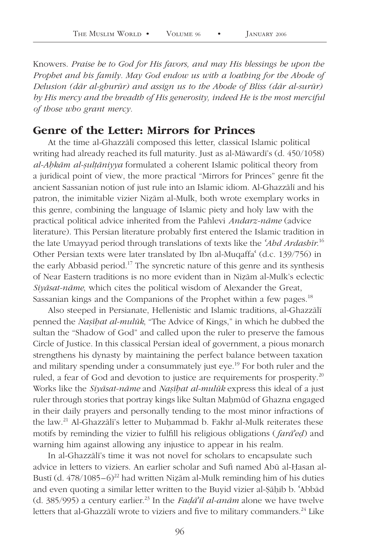Knowers. *Praise be to God for His favors, and may His blessings be upon the*  Prophet and his family. May God endow us with a loathing for the Abode of *Delusion (dar al-ghurur) and assign us to the Abode of Bliss (dar al-surur) by His mercy and the breadth of His generosity, indeed He is the most merciful of those who grant mercy.*

## **Genre of the Letter: Mirrors for Princes**

At the time al-Ghazzali composed this letter, classical Islamic political writing had already reached its full maturity. Just as al-Mawardi's (d. 450/1058) *al-Ahkam al-sul†aniyya* formulated a coherent Islamic political theory from a juridical point of view, the more practical "Mirrors for Princes" genre fit the ancient Sassanian notion of just rule into an Islamic idiom. Al-Ghazzali and his patron, the inimitable vizier Nizam al-Mulk, both wrote exemplary works in this genre, combining the language of Islamic piety and holy law with the practical political advice inherited from the Pahlevi *Andarz-name* (advice literature). This Persian literature probably first entered the Islamic tradition in the late Umayyad period through translations of texts like the "*Ahd Ardashir*. 16 Other Persian texts were later translated by Ibn al-Muqaffa' (d.c. 139/756) in the early Abbasid period.17 The syncretic nature of this genre and its synthesis of Near Eastern traditions is no more evident than in Nizam al-Mulk's eclectic *Siyasat-name*, which cites the political wisdom of Alexander the Great, Sassanian kings and the Companions of the Prophet within a few pages.<sup>18</sup>

Also steeped in Persianate, Hellenistic and Islamic traditions, al-Ghazzali penned the *Nasihat al-muluk*, "The Advice of Kings," in which he dubbed the sultan the "Shadow of God" and called upon the ruler to preserve the famous Circle of Justice. In this classical Persian ideal of government, a pious monarch strengthens his dynasty by maintaining the perfect balance between taxation and military spending under a consummately just eye.19 For both ruler and the ruled, a fear of God and devotion to justice are requirements for prosperity.<sup>20</sup> Works like the *Siyasat-name* and *Nasihat al-muluk* express this ideal of a just ruler through stories that portray kings like Sultan Mahmud of Ghazna engaged in their daily prayers and personally tending to the most minor infractions of the law.21 Al-Ghazzali's letter to Muhammad b. Fakhr al-Mulk reiterates these motifs by reminding the vizier to fulfill his religious obligations (*fara*"*ed*) and warning him against allowing any injustice to appear in his realm.

In al-Ghazzali's time it was not novel for scholars to encapsulate such advice in letters to viziers. An earlier scholar and Sufi named Abu al-Hasan al-Bustī (d.  $478/1085-6$ <sup>22</sup> had written Nizām al-Mulk reminding him of his duties and even quoting a similar letter written to the Buyid vizier al-Sahib b. 'Abbad (d. 385/995) a century earlier.23 In the *Fada*"*il al-anam* alone we have twelve letters that al-Ghazzālī wrote to viziers and five to military commanders.<sup>24</sup> Like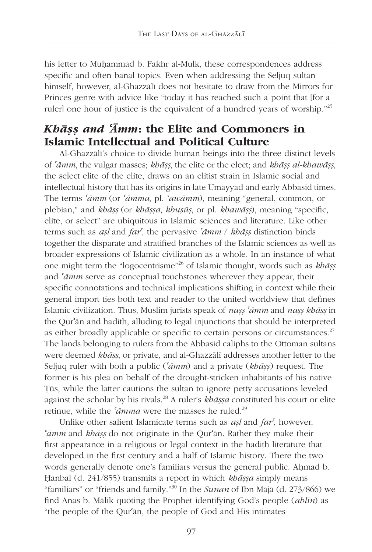his letter to Muhammad b. Fakhr al-Mulk, these correspondences address specific and often banal topics. Even when addressing the Seljuq sultan himself, however, al-Ghazzali does not hesitate to draw from the Mirrors for Princes genre with advice like "today it has reached such a point that [for a ruler] one hour of justice is the equivalent of a hundred years of worship."25

# *Khass and* [*Amm***: the Elite and Commoners in Islamic Intellectual and Political Culture**

Al-Ghazzali's choice to divide human beings into the three distinct levels of "*amm*, the vulgar masses; *khass*, the elite or the elect; and *khass al-khawass*, the select elite of the elite, draws on an elitist strain in Islamic social and intellectual history that has its origins in late Umayyad and early Abbasid times. The terms "*amm* (or "*amma*, pl. "*awamm*), meaning "general, common, or plebian," and *khass* (or *khassa*, *khusus*, or pl. *khawass*), meaning "specific, elite, or select" are ubiquitous in Islamic sciences and literature. Like other terms such as *asl* and *far*", the pervasive "*amm* / *khass* distinction binds together the disparate and stratified branches of the Islamic sciences as well as broader expressions of Islamic civilization as a whole. In an instance of what one might term the "logocentrisme"26 of Islamic thought, words such as *khass* and "*amm* serve as conceptual touchstones wherever they appear, their specific connotations and technical implications shifting in context while their general import ties both text and reader to the united worldview that defines Islamic civilization. Thus, Muslim jurists speak of *nass* "*amm* and *nass khass* in the Qur'an and hadith, alluding to legal injunctions that should be interpreted as either broadly applicable or specific to certain persons or circumstances.<sup>27</sup> The lands belonging to rulers from the Abbasid caliphs to the Ottoman sultans were deemed *khass*, or private, and al-Ghazzali addresses another letter to the Seljuq ruler with both a public ("*amm*) and a private (*khass*) request. The former is his plea on behalf of the drought-stricken inhabitants of his native Tus, while the latter cautions the sultan to ignore petty accusations leveled against the scholar by his rivals.28 A ruler's *khassa* constituted his court or elite retinue, while the '*a*<sup>*mma*</sup> were the masses he ruled.<sup>29</sup>

Unlike other salient Islamicate terms such as *asl* and *far*", however, "*amm* and *khass* do not originate in the Qur'an. Rather they make their first appearance in a religious or legal context in the hadith literature that developed in the first century and a half of Islamic history. There the two words generally denote one's familiars versus the general public. Ahmad b. Hanbal (d. 241/855) transmits a report in which *khassa* simply means "familiars" or "friends and family."30 In the *Sunan* of Ibn Maja (d. 273/866) we find Anas b. Malik quoting the Prophet identifying God's people (*ahlin*) as "the people of the Qur'an, the people of God and His intimates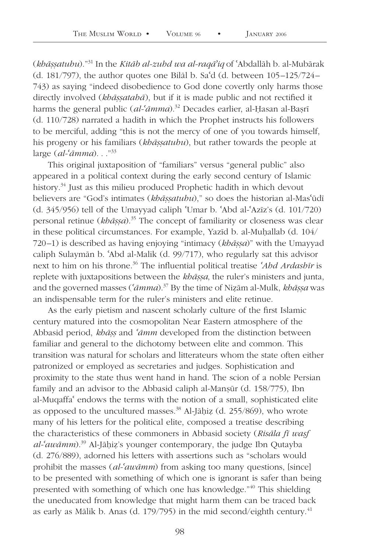(*khassatuhu*)."31 In the *Kitab al-zuhd wa al-raqa*"*iq* of 'Abdallah b. al-Mubarak (d. 181/797), the author quotes one Bilal b. Sa'd (d. between  $105-125/724-$ 743) as saying "indeed disobedience to God done covertly only harms those directly involved (*khassataha*), but if it is made public and not rectified it harms the general public (*al-'āmma*).<sup>32</sup> Decades earlier, al-Hasan al-Bașri (d. 110/728) narrated a hadith in which the Prophet instructs his followers to be merciful, adding "this is not the mercy of one of you towards himself, his progeny or his familiars (*khassatuhu*), but rather towards the people at large (*al-'āmma*). . . "<sup>33</sup>

This original juxtaposition of "familiars" versus "general public" also appeared in a political context during the early second century of Islamic history.<sup>34</sup> Just as this milieu produced Prophetic hadith in which devout believers are "God's intimates (*khassatuhu*)," so does the historian al-Mas'udi (d. 345/956) tell of the Umayyad caliph 'Umar b. 'Abd al-'Aziz's (d. 101/720) personal retinue (*khassa*).35 The concept of familiarity or closeness was clear in these political circumstances. For example, Yazid b. al-Muhallab (d. 104/ 720–1) is described as having enjoying "intimacy (*khassa*)" with the Umayyad caliph Sulayman b. 'Abd al-Malik (d. 99/717), who regularly sat this advisor next to him on his throne.36 The influential political treatise "*Ahd Ardashir* is replete with juxtapositions between the *khassa*, the ruler's ministers and junta, and the governed masses ("*amma*).37 By the time of Nizam al-Mulk, *khassa* was an indispensable term for the ruler's ministers and elite retinue.

As the early pietism and nascent scholarly culture of the first Islamic century matured into the cosmopolitan Near Eastern atmosphere of the Abbasid period, *khass* and *"amm* developed from the distinction between familiar and general to the dichotomy between elite and common. This transition was natural for scholars and litterateurs whom the state often either patronized or employed as secretaries and judges. Sophistication and proximity to the state thus went hand in hand. The scion of a noble Persian family and an advisor to the Abbasid caliph al-Mansūr (d. 158/775), Ibn al-Muqaffa' endows the terms with the notion of a small, sophisticated elite as opposed to the uncultured masses. $38$  Al-Jāḥiz (d. 255/869), who wrote many of his letters for the political elite, composed a treatise describing the characteristics of these commoners in Abbasid society (*Risala fi wasf al-*"*awamm*).39 Al-Jahiz's younger contemporary, the judge Ibn Qutayba (d. 276/889), adorned his letters with assertions such as "scholars would prohibit the masses (*al-*"*awamm*) from asking too many questions, [since] to be presented with something of which one is ignorant is safer than being presented with something of which one has knowledge."40 This shielding the uneducated from knowledge that might harm them can be traced back as early as Mālik b. Anas (d. 179/795) in the mid second/eighth century.<sup>41</sup>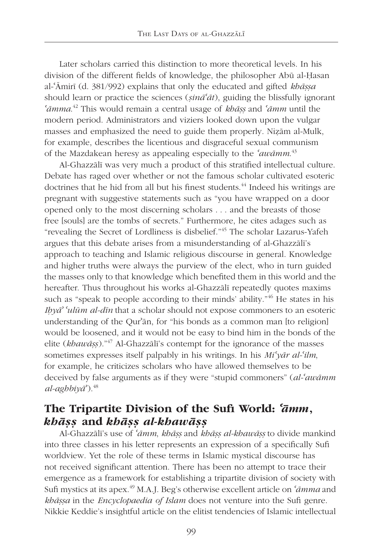Later scholars carried this distinction to more theoretical levels. In his division of the different fields of knowledge, the philosopher Abu al-Hasan al-'Amiri (d. 381/992) explains that only the educated and gifted *khassa* should learn or practice the sciences (*sina*"*at*), guiding the blissfully ignorant "*amma*. <sup>42</sup> This would remain a central usage of *khass* and *"amm* until the modern period. Administrators and viziers looked down upon the vulgar masses and emphasized the need to guide them properly. Nizam al-Mulk, for example, describes the licentious and disgraceful sexual communism of the Mazdakean heresy as appealing especially to the "*awamm*. 43

Al-Ghazzali was very much a product of this stratified intellectual culture. Debate has raged over whether or not the famous scholar cultivated esoteric doctrines that he hid from all but his finest students.<sup>44</sup> Indeed his writings are pregnant with suggestive statements such as "you have wrapped on a door opened only to the most discerning scholars . . . and the breasts of those free [souls] are the tombs of secrets." Furthermore, he cites adages such as "revealing the Secret of Lordliness is disbelief."45 The scholar Lazarus-Yafeh argues that this debate arises from a misunderstanding of al-Ghazzali's approach to teaching and Islamic religious discourse in general. Knowledge and higher truths were always the purview of the elect, who in turn guided the masses only to that knowledge which benefited them in this world and the hereafter. Thus throughout his works al-Ghazzali repeatedly quotes maxims such as "speak to people according to their minds' ability."<sup>46</sup> He states in his *Ihya*" "*ulum al-din* that a scholar should not expose commoners to an esoteric understanding of the Qur'an, for "his bonds as a common man [to religion] would be loosened, and it would not be easy to bind him in the bonds of the elite (*khawass*)."47 Al-Ghazzali's contempt for the ignorance of the masses sometimes expresses itself palpably in his writings. In his *Mi*"*yar al-*"*ilm*, for example, he criticizes scholars who have allowed themselves to be deceived by false arguments as if they were "stupid commoners" (*al-*"*awamm*   $al$ -aghbiy $\bar{a}$ <sup>2</sup>).<sup>48</sup>

# **The Tripartite Division of the Sufi World:** *[amm***,**  *khass* **and** *khass al-khawass*

Al-Ghazzali's use of "*amm*, *khass* and *khass al-khawass* to divide mankind into three classes in his letter represents an expression of a specifically Sufi worldview. Yet the role of these terms in Islamic mystical discourse has not received significant attention. There has been no attempt to trace their emergence as a framework for establishing a tripartite division of society with Sufi mystics at its apex.49 M.A.J. Beg's otherwise excellent article on "*amma* and *khassa* in the *Encyclopaedia of Islam* does not venture into the Sufi genre. Nikkie Keddie's insightful article on the elitist tendencies of Islamic intellectual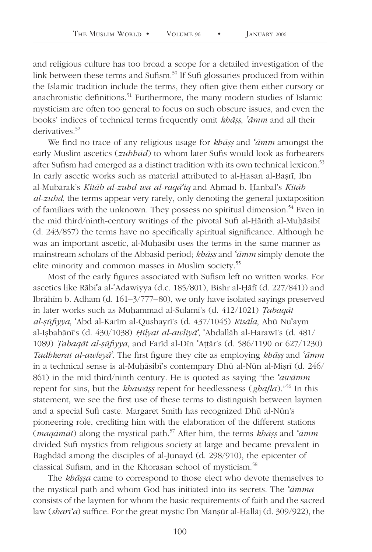and religious culture has too broad a scope for a detailed investigation of the link between these terms and Sufism.<sup>50</sup> If Sufi glossaries produced from within the Islamic tradition include the terms, they often give them either cursory or anachronistic definitions.<sup>51</sup> Furthermore, the many modern studies of Islamic mysticism are often too general to focus on such obscure issues, and even the books' indices of technical terms frequently omit *khass*, "*amm* and all their derivatives.<sup>52</sup>

We find no trace of any religious usage for *khass* and *"amm* amongst the early Muslim ascetics (*zuhhad*) to whom later Sufis would look as forbearers after Sufism had emerged as a distinct tradition with its own technical lexicon.53 In early ascetic works such as material attributed to al-Hasan al-Basri, Ibn al-Mubarak's *Kitab al-zuhd wa al-raqa*"*iq* and Ahmad b. Hanbal's *Kitab al-zuhd*, the terms appear very rarely, only denoting the general juxtaposition of familiars with the unknown. They possess no spiritual dimension.<sup>54</sup> Even in the mid third/ninth-century writings of the pivotal Sufi al-Harith al-Muhasibi (d. 243/857) the terms have no specifically spiritual significance. Although he was an important ascetic, al-Muhasibi uses the terms in the same manner as mainstream scholars of the Abbasid period; *khass* and *"amm* simply denote the elite minority and common masses in Muslim society.<sup>55</sup>

Most of the early figures associated with Sufism left no written works. For ascetics like Rabi'a al-'Adawiyya (d.c. 185/801), Bishr al-Hafi (d. 227/841)) and Ibrahim b. Adham (d. 161–3/777–80), we only have isolated sayings preserved in later works such as Muhammad al-Sulami's (d. 412/1021) *Tabaqat al-sufiyya*, 'Abd al-Karim al-Qushayri's (d. 437/1045) *Risala*, Abu Nu'aym al-Isbahani's (d. 430/1038) *Hilyat al-awliya*", 'Abdallah al-Harawi's (d. 481/ 1089) *Tabaqat al-sufiyya*, and Farid al-Din 'A††ar's (d. 586/1190 or 627/1230) *Tadhkerat al-awleya*". The first figure they cite as employing *khass* and *"amm* in a technical sense is al-Muhasibi's contempary Dhu al-Nun al-Misri (d. 246/ 861) in the mid third/ninth century. He is quoted as saying "the "*awamm* repent for sins, but the *khawass* repent for heedlessness (*ghafla*)."56 In this statement, we see the first use of these terms to distinguish between laymen and a special Sufi caste. Margaret Smith has recognized Dhū al-Nūn's pioneering role, crediting him with the elaboration of the different stations (*maqamat*) along the mystical path.57 After him, the terms *khass* and *"amm* divided Sufi mystics from religious society at large and became prevalent in Baghdād among the disciples of al-Junayd (d. 298/910), the epicenter of classical Sufism, and in the Khorasan school of mysticism.<sup>58</sup>

The *khassa* came to correspond to those elect who devote themselves to the mystical path and whom God has initiated into its secrets. The "*amma* consists of the laymen for whom the basic requirements of faith and the sacred law (*shari*"*a*) suffice. For the great mystic Ibn Mansur al-Hallaj (d. 309/922), the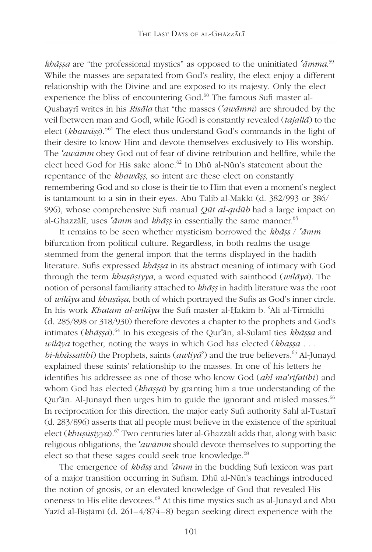*khassa* are "the professional mystics" as opposed to the uninitiated "*amma*. 59 While the masses are separated from God's reality, the elect enjoy a different relationship with the Divine and are exposed to its majesty. Only the elect experience the bliss of encountering God.<sup>60</sup> The famous Sufi master al-Qushayri writes in his *Risala* that "the masses ("*awamm*) are shrouded by the veil [between man and God], while [God] is constantly revealed (*tajalla*) to the elect (*khawass*)."61 The elect thus understand God's commands in the light of their desire to know Him and devote themselves exclusively to His worship. The "*awamm* obey God out of fear of divine retribution and hellfire, while the elect heed God for His sake alone.<sup>62</sup> In Dhū al-Nūn's statement about the repentance of the *khawass*, so intent are these elect on constantly remembering God and so close is their tie to Him that even a moment's neglect is tantamount to a sin in their eyes. Abu Talib al-Makki (d. 382/993 or 386/ 996), whose comprehensive Sufi manual *Qut al-qulub* had a large impact on al-Ghazzālī, uses 'āmm and khāss in essentially the same manner.<sup>63</sup>

It remains to be seen whether mysticism borrowed the *khass* / "*amm* bifurcation from political culture. Regardless, in both realms the usage stemmed from the general import that the terms displayed in the hadith literature. Sufis expressed *khassa* in its abstract meaning of intimacy with God through the term *khususiyya*, a word equated with sainthood (*wilaya*). The notion of personal familiarity attached to *khass* in hadith literature was the root of *wilaya* and *khususa*, both of which portrayed the Sufis as God's inner circle. In his work *Khatam al-wilaya* the Sufi master al-Hakim b. 'Ali al-Tirmidhi (d. 285/898 or 318/930) therefore devotes a chapter to the prophets and God's intimates (*khassa*).64 In his exegesis of the Qur'an, al-Sulami ties *khassa* and *wilaya* together, noting the ways in which God has elected (*khassa . . . bi-khassatihi*) the Prophets, saints (*awliya*") and the true believers.65 Al-Junayd explained these saints' relationship to the masses. In one of his letters he identifies his addressee as one of those who know God (*ahl ma*"*rifatihi*) and whom God has elected (*khassa*) by granting him a true understanding of the Qur'an. Al-Junayd then urges him to guide the ignorant and misled masses.<sup>66</sup> In reciprocation for this direction, the major early Sufi authority Sahl al-Tustari (d. 283/896) asserts that all people must believe in the existence of the spiritual elect (*khususiyya*).67 Two centuries later al-Ghazzali adds that, along with basic religious obligations, the "*awamm* should devote themselves to supporting the elect so that these sages could seek true knowledge.<sup>68</sup>

The emergence of *khass* and *"amm* in the budding Sufi lexicon was part of a major transition occurring in Sufism. Dhu al-Nun's teachings introduced the notion of gnosis, or an elevated knowledge of God that revealed His oneness to His elite devotees.<sup>69</sup> At this time mystics such as al-Junayd and Abū Yazīd al-Bișțāmī (d. 261–4/874–8) began seeking direct experience with the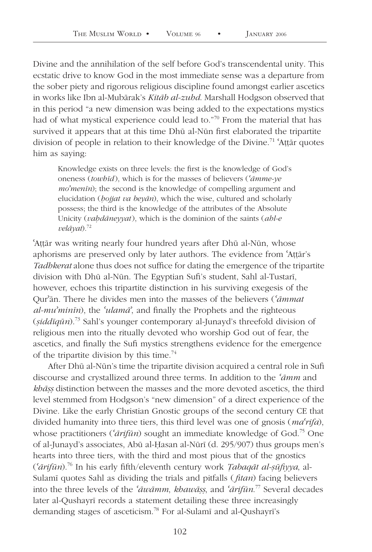Divine and the annihilation of the self before God's transcendental unity. This ecstatic drive to know God in the most immediate sense was a departure from the sober piety and rigorous religious discipline found amongst earlier ascetics in works like Ibn al-Mubarak's *Kitab al-zuhd*. Marshall Hodgson observed that in this period "a new dimension was being added to the expectations mystics had of what mystical experience could lead to."<sup>70</sup> From the material that has survived it appears that at this time Dhū al-Nūn first elaborated the tripartite division of people in relation to their knowledge of the Divine.<sup>71</sup> 'Attār quotes him as saying:

Knowledge exists on three levels: the first is the knowledge of God's oneness (*towhid* ), which is for the masses of believers ("*amme-ye mo*"*menin*); the second is the knowledge of compelling argument and elucidation (*hojjat va beyan*), which the wise, cultured and scholarly possess; the third is the knowledge of the attributes of the Absolute Unicity (*vahdaneyyat*), which is the dominion of the saints (*ahl-e*   $vel$ *ā* $\gamma$ *at* $)$ .<sup>72</sup>

'Attār was writing nearly four hundred years after Dhū al-Nūn, whose aphorisms are preserved only by later authors. The evidence from 'Attar's *Tadhkerat* alone thus does not suffice for dating the emergence of the tripartite division with Dhu al-Nun. The Egyptian Sufi's student, Sahl al-Tustari, however, echoes this tripartite distinction in his surviving exegesis of the Qur'an. There he divides men into the masses of the believers ("*ammat al-mu*"*minin*), the "*ulama*", and finally the Prophets and the righteous (*siddiqun*).73 Sahl's younger contemporary al-Junayd's threefold division of religious men into the ritually devoted who worship God out of fear, the ascetics, and finally the Sufi mystics strengthens evidence for the emergence of the tripartite division by this time.74

After Dhū al-Nūn's time the tripartite division acquired a central role in Sufi discourse and crystallized around three terms. In addition to the *"amm* and *khass* distinction between the masses and the more devoted ascetics, the third level stemmed from Hodgson's "new dimension" of a direct experience of the Divine. Like the early Christian Gnostic groups of the second century CE that divided humanity into three tiers, this third level was one of gnosis (*ma*"*rifa*), whose practitioners ('*arifun*) sought an immediate knowledge of God.<sup>75</sup> One of al-Junayd's associates, Abu al-Hasan al-Nuri (d. 295/907) thus groups men's hearts into three tiers, with the third and most pious that of the gnostics ("*arifun*).76 In his early fifth/eleventh century work *Tabaqat al-sufiyya*, al-Sulami quotes Sahl as dividing the trials and pitfalls ( *fitan*) facing believers into the three levels of the *"awamm*, *khawass*, and "*arifun*. <sup>77</sup> Several decades later al-Qushayri records a statement detailing these three increasingly demanding stages of asceticism.78 For al-Sulami and al-Qushayri's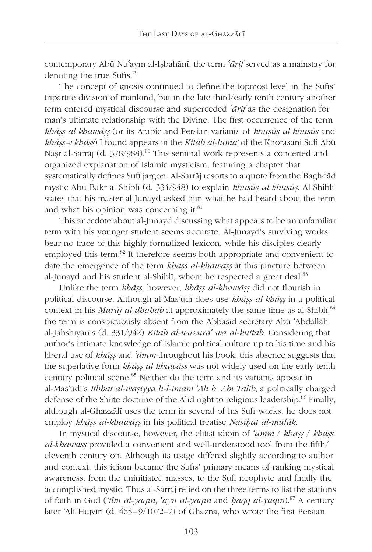contemporary Abu Nu'aym al-Isbahani, the term "*arif* served as a mainstay for denoting the true Sufis.79

The concept of gnosis continued to define the topmost level in the Sufis' tripartite division of mankind, but in the late third/early tenth century another term entered mystical discourse and superceded "*arif* as the designation for man's ultimate relationship with the Divine. The first occurrence of the term *khass al-khawass* (or its Arabic and Persian variants of *khusus al-khusus* and *khass-e khass*) I found appears in the *Kitab al-luma*" of the Khorasani Sufi Abu Nasr al-Sarrāj (d. 378/988).<sup>80</sup> This seminal work represents a concerted and organized explanation of Islamic mysticism, featuring a chapter that systematically defines Sufi jargon. Al-Sarraj resorts to a quote from the Baghdad mystic Abu Bakr al-Shibli (d. 334/948) to explain *khusus al-khusus*. Al-Shibli states that his master al-Junayd asked him what he had heard about the term and what his opinion was concerning it. $81$ 

This anecdote about al-Junayd discussing what appears to be an unfamiliar term with his younger student seems accurate. Al-Junayd's surviving works bear no trace of this highly formalized lexicon, while his disciples clearly employed this term.<sup>82</sup> It therefore seems both appropriate and convenient to date the emergence of the term *khass al-khawass* at this juncture between al-Junayd and his student al-Shibli, whom he respected a great deal.<sup>83</sup>

Unlike the term *khass*, however, *khass al-khawass* did not flourish in political discourse. Although al-Mas'udi does use *khass al-khass* in a political context in his *Murūj al-dhahab* at approximately the same time as al-Shiblī,<sup>84</sup> the term is conspicuously absent from the Abbasid secretary Abu 'Abdallah al-Jahshiyari's (d. 331/942) *Kitab al-wuzura*" *wa al-kuttab*. Considering that author's intimate knowledge of Islamic political culture up to his time and his liberal use of *khass* and *"amm* throughout his book, this absence suggests that the superlative form *khass al-khawass* was not widely used on the early tenth century political scene.<sup>85</sup> Neither do the term and its variants appear in al-Mas'udi's *Ithbat al-wasiyya li-l-imam* "*Ali b. Abi Talib*, a politically charged defense of the Shiite doctrine of the Alid right to religious leadership.<sup>86</sup> Finally, although al-Ghazzali uses the term in several of his Sufi works, he does not employ *khass al-khawass* in his political treatise *Nasihat al-muluk*.

In mystical discourse, however, the elitist idiom of "*amm* / *khass* / *khass al-khawass* provided a convenient and well-understood tool from the fifth/ eleventh century on. Although its usage differed slightly according to author and context, this idiom became the Sufis' primary means of ranking mystical awareness, from the uninitiated masses, to the Sufi neophyte and finally the accomplished mystic. Thus al-Sarraj relied on the three terms to list the stations of faith in God ("*ilm al-yaqin*, "*ayn al-yaqin* and *haqq al-yaqin*).87 A century later 'Ali Hujviri (d. 465–9/1072–7) of Ghazna, who wrote the first Persian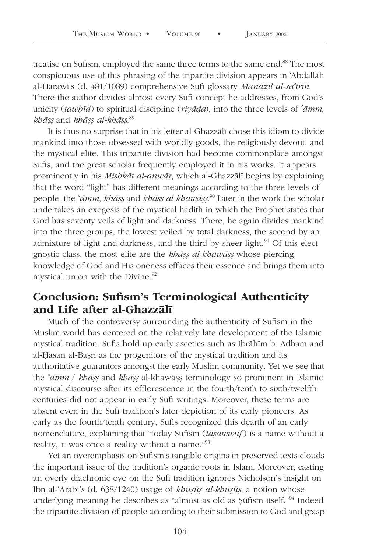treatise on Sufism, employed the same three terms to the same end.<sup>88</sup> The most conspicuous use of this phrasing of the tripartite division appears in 'Abdallah al-Harawi's (d. 481/1089) comprehensive Sufi glossary *Manazil al-sa*"*irin*. There the author divides almost every Sufi concept he addresses, from God's unicity (*tawhid*) to spiritual discipline (*riyada*), into the three levels of "*amm*, *khass* and *khass al-khass*. 89

It is thus no surprise that in his letter al-Ghazzali chose this idiom to divide mankind into those obsessed with worldly goods, the religiously devout, and the mystical elite. This tripartite division had become commonplace amongst Sufis, and the great scholar frequently employed it in his works. It appears prominently in his *Mishkat al-anwar*, which al-Ghazzali begins by explaining that the word "light" has different meanings according to the three levels of people, the "*amm*, *khass* and *khass al-khawass*. <sup>90</sup> Later in the work the scholar undertakes an exegesis of the mystical hadith in which the Prophet states that God has seventy veils of light and darkness. There, he again divides mankind into the three groups, the lowest veiled by total darkness, the second by an admixture of light and darkness, and the third by sheer light.<sup>91</sup> Of this elect gnostic class, the most elite are the *khass al-khawass* whose piercing knowledge of God and His oneness effaces their essence and brings them into mystical union with the Divine.<sup>92</sup>

# **Conclusion: Sufism's Terminological Authenticity and Life after al-Ghazzali**

Much of the controversy surrounding the authenticity of Sufism in the Muslim world has centered on the relatively late development of the Islamic mystical tradition. Sufis hold up early ascetics such as Ibrahim b. Adham and al-Hasan al-Basri as the progenitors of the mystical tradition and its authoritative guarantors amongst the early Muslim community. Yet we see that the "*amm* / *khass* and *khass* al-khawass terminology so prominent in Islamic mystical discourse after its efflorescence in the fourth/tenth to sixth/twelfth centuries did not appear in early Sufi writings. Moreover, these terms are absent even in the Sufi tradition's later depiction of its early pioneers. As early as the fourth/tenth century, Sufis recognized this dearth of an early nomenclature, explaining that "today Sufism (*tasawwuf* ) is a name without a reality, it was once a reality without a name."93

Yet an overemphasis on Sufism's tangible origins in preserved texts clouds the important issue of the tradition's organic roots in Islam. Moreover, casting an overly diachronic eye on the Sufi tradition ignores Nicholson's insight on Ibn al-'Arabi's (d. 638/1240) usage of *khusus al-khusus*, a notion whose underlying meaning he describes as "almost as old as Súfism itself."94 Indeed the tripartite division of people according to their submission to God and grasp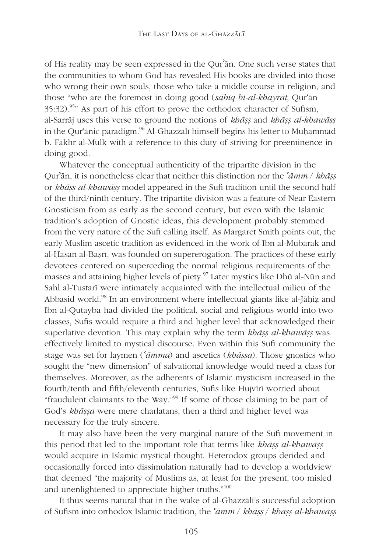of His reality may be seen expressed in the Qur'an. One such verse states that the communities to whom God has revealed His books are divided into those who wrong their own souls, those who take a middle course in religion, and those "who are the foremost in doing good (*sabiq bi-al-khayrat*, Qur'an 35:32).<sup>95</sup> As part of his effort to prove the orthodox character of Sufism, al-Sarraj uses this verse to ground the notions of *khass* and *khass al-khawass* in the Qur'ānic paradigm.<sup>96</sup> Al-Ghazzālī himself begins his letter to Muhammad b. Fakhr al-Mulk with a reference to this duty of striving for preeminence in doing good.

Whatever the conceptual authenticity of the tripartite division in the Qur'an, it is nonetheless clear that neither this distinction nor the "*amm* / *khass* or *khass al-khawass* model appeared in the Sufi tradition until the second half of the third/ninth century. The tripartite division was a feature of Near Eastern Gnosticism from as early as the second century, but even with the Islamic tradition's adoption of Gnostic ideas, this development probably stemmed from the very nature of the Sufi calling itself. As Margaret Smith points out, the early Muslim ascetic tradition as evidenced in the work of Ibn al-Mubarak and al-Hasan al-Basri, was founded on supererogation. The practices of these early devotees centered on superceding the normal religious requirements of the masses and attaining higher levels of piety.<sup>97</sup> Later mystics like Dhū al-Nūn and Sahl al-Tustari were intimately acquainted with the intellectual milieu of the Abbasid world.98 In an environment where intellectual giants like al-Jahiz and Ibn al-Qutayba had divided the political, social and religious world into two classes, Sufis would require a third and higher level that acknowledged their superlative devotion. This may explain why the term *khass al-khawass* was effectively limited to mystical discourse. Even within this Sufi community the stage was set for laymen ("*amma*) and ascetics (*khassa*). Those gnostics who sought the "new dimension" of salvational knowledge would need a class for themselves. Moreover, as the adherents of Islamic mysticism increased in the fourth/tenth and fifth/eleventh centuries, Sufis like Hujviri worried about "fraudulent claimants to the Way."99 If some of those claiming to be part of God's *khassa* were mere charlatans, then a third and higher level was necessary for the truly sincere.

It may also have been the very marginal nature of the Sufi movement in this period that led to the important role that terms like *khass al-khawass* would acquire in Islamic mystical thought. Heterodox groups derided and occasionally forced into dissimulation naturally had to develop a worldview that deemed "the majority of Muslims as, at least for the present, too misled and unenlightened to appreciate higher truths."100

It thus seems natural that in the wake of al-Ghazzali's successful adoption of Sufism into orthodox Islamic tradition, the "*amm* / *khass* / *khass al-khawass*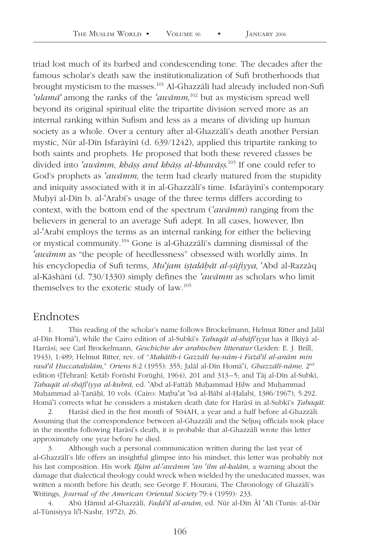triad lost much of its barbed and condescending tone. The decades after the famous scholar's death saw the institutionalization of Sufi brotherhoods that brought mysticism to the masses.101 Al-Ghazzali had already included non-Sufi "*ulama*" among the ranks of the "*awamm*, <sup>102</sup> but as mysticism spread well beyond its original spiritual elite the tripartite division served more as an internal ranking within Sufism and less as a means of dividing up human society as a whole. Over a century after al-Ghazzali's death another Persian mystic, Nur al-Din Isfarayini (d. 639/1242), applied this tripartite ranking to both saints and prophets. He proposed that both these revered classes be divided into "*awamm*, *khass and khass al-khawass*. <sup>103</sup> If one could refer to God's prophets as "*awamm*, the term had clearly matured from the stupidity and iniquity associated with it in al-Ghazzali's time. Isfarayini's contemporary Muhyi al-Din b. al-'Arabi's usage of the three terms differs according to context, with the bottom end of the spectrum ("*awamm*) ranging from the believers in general to an average Sufi adept. In all cases, however, Ibn al-'Arabi employs the terms as an internal ranking for either the believing or mystical community.104 Gone is al-Ghazzali's damning dismissal of the "*awamm* as "the people of heedlessness" obsessed with worldly aims. In his encyclopedia of Sufi terms, *Mu*"*jam is†alahat al-sufiyya*, 'Abd al-Razzaq al-Kashani (d. 730/1330) simply defines the "*awamm* as scholars who limit themselves to the exoteric study of law.105

## Endnotes

1. This reading of the scholar's name follows Brockelmann, Helmut Ritter and Jalal al-Din Homa'i, while the Cairo edition of al-Subki's *Tabaqat al-shafi*"*iyya* has it Ilkiya al-Harrasi; see Carl Brockelmann, *Geschichte der arabischen litteratur* (Leiden: E. J. Brill, 1943), 1:489; Helmut Ritter, rev. of "*Makatib-i Gazzali ba-nam-i Faya*"*il al-anam min rasa*"*il Huccatalislam*," *Oriens* 8:2 (1955): 355; Jalal al-Din Homa'i, *Ghazzali-name*, 2nd edition ([Tehran]: Ketāb Forūshī Forūghī, 1964), 201 and 313–5; and Tāj al-Dīn al-Subkī, *Tabaqat al-shafi*"*iyya al-kubra*, ed. 'Abd al-Fattah Muhammad Hilw and Muhammad Muhammad al-Tanahi, 10 vols. (Cairo: Ma†ba'at 'isa al-Babi al-Halabi, 1386/1967), 5:292. Homa'i corrects what he considers a mistaken death date for Harasi in al-Subki's *Tabaqat*.

2. Harasi died in the first month of 504AH, a year and a half before al-Ghazzali. Assuming that the correspondence between al-Ghazzali and the Seljuq officials took place in the months following Harasi's death, it is probable that al-Ghazzali wrote this letter approximately one year before he died.

3. Although such a personal communication written during the last year of al-Ghazzali's life offers an insightful glimpse into his mindset, this letter was probably not his last composition. His work *Iljam al-*"*awamm* "*an* "*ilm al-kalam*, a warning about the damage that dialectical theology could wreck when wielded by the uneducated masses, was written a month before his death; see George F. Hourani, The Chronology of Ghazali's Writings, *Journal of the American Oriental Society* 79:4 (1959): 233.

4. Abu Hamid al-Ghazzali, *Fada*"*il al-anam*, ed. Nur al-Din Al 'Ali (Tunis: al-Dar al-Tunisiyya li'l-Nashr, 1972), 26.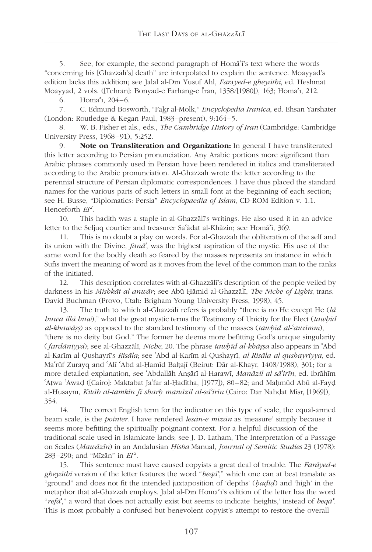5. See, for example, the second paragraph of Homa'i's text where the words "concerning his [Ghazzali's] death" are interpolated to explain the sentence. Moayyad's edition lacks this addition; see Jalal al-Din Yusuf Ahl, *Far*a*yed-e gheyathi*, ed. Heshmat Moayyad, 2 vols. ([Tehran]: Bonyad-e Farhang-e Iran, 1358/[1980]), 163; Homa'i, 212.

6. Homa'i, 204–6.

7. C. Edmund Bosworth, "Fakr al-Molk," *Encyclopedia Iranica*, ed. Ehsan Yarshater (London: Routledge & Kegan Paul, 1983–present), 9:164–5.

8. W. B. Fisher et als., eds., *The Cambridge History of Iran* (Cambridge: Cambridge University Press, 1968–91), 5:252.

9. **Note on Transliteration and Organization:** In general I have transliterated this letter according to Persian pronunciation. Any Arabic portions more significant than Arabic phrases commonly used in Persian have been rendered in italics and transliterated according to the Arabic pronunciation. Al-Ghazzali wrote the letter according to the perennial structure of Persian diplomatic correspondences. I have thus placed the standard names for the various parts of such letters in small font at the beginning of each section; see H. Busse, "Diplomatics: Persia" *Encyclopaedia of Islam*, CD-ROM Edition v. 1.1. Henceforth  $EI^2$ .

10. This hadith was a staple in al-Ghazzali's writings. He also used it in an advice letter to the Seljuq courtier and treasurer Sa'adat al-Khazin; see Homa'i, 369.

11. This is no doubt a play on words. For al-Ghazzali the obliteration of the self and its union with the Divine, *fana*", was the highest aspiration of the mystic. His use of the same word for the bodily death so feared by the masses represents an instance in which Sufis invert the meaning of word as it moves from the level of the common man to the ranks of the initiated.

12. This description correlates with al-Ghazzali's description of the people veiled by darkness in his *Mishkat al-anwar*; see Abu Hamid al-Ghazzali, *The Niche of Lights*, trans. David Buchman (Provo, Utah: Brigham Young University Press, 1998), 45.

13. The truth to which al-Ghazzali refers is probably "there is no He except He (*la huwa illa huw*)," what the great mystic terms the Testimony of Unicity for the Elect (*tawhid al-khawass*) as opposed to the standard testimony of the masses (*tawhid al-*"*awamm*), "there is no deity but God." The former he deems more befitting God's unique singularity (*fardaniyya*); see al-Ghazzali, *Niche*, 20. The phrase *tawhid al-khassa* also appears in 'Abd al-Karim al-Qushayri's *Risala*; see 'Abd al-Karim al-Qushayri, *al-Risala al-qushayriyya*, ed. Ma'ruf Zurayq and 'Ali 'Abd al-Hamid Bal†aji (Beirut: Dar al-Khayr, 1408/1988), 301; for a more detailed explanation, see 'Abdallah Ansari al-Harawi, *Manazil al-sa*"*irin*, ed. Ibrahim 'A†wa 'Awad ([Cairo]: Maktabat Ja'far al-Haditha, [1977]), 80–82; and Mahmud Abu al-Fayd al-Husayni, *Kitab al-tamkin fi sharh manazil al-sa*"*irin* (Cairo: Dar Nahdat Misr, [1969]), 354.

14. The correct English term for the indicator on this type of scale, the equal-armed beam scale, is the *pointer*. I have rendered *lesan-e mizan* as 'measure' simply because it seems more befitting the spiritually poignant context. For a helpful discussion of the traditional scale used in Islamicate lands; see J. D. Latham, The Interpretation of a Passage on Scales (*Mawazin*) in an Andalusian *Hisba* Manual, *Journal of Semitic Studies* 23 (1978): 283–290; and "Mizan" in *EI <sup>2</sup> .*

15. This sentence must have caused copyists a great deal of trouble. The *Farayed-e gheyathi* version of the letter features the word "*beqa*"," which one can at best translate as "ground" and does not fit the intended juxtaposition of 'depths' (*hadid*) and 'high' in the metaphor that al-Ghazzali employs. Jalal al-Din Homa'i's edition of the letter has the word "*refa*"," a word that does not actually exist but seems to indicate 'heights,' instead of *beqa*". This is most probably a confused but benevolent copyist's attempt to restore the overall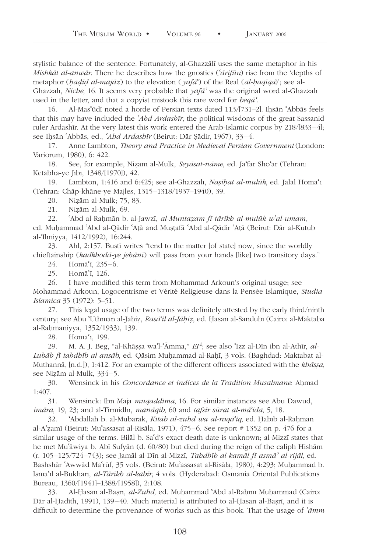stylistic balance of the sentence. Fortunately, al-Ghazzali uses the same metaphor in his *Mishkat al-anwar*. There he describes how the gnostics (*"arifun*) rise from the 'depths of metaphor (*hadid al-majaz*) to the elevation ( *yafa*') of the Real (*al-haqiqa*)'; see al-Ghazzali, *Niche*, 16. It seems very probable that *yafa*" was the original word al-Ghazzali used in the letter, and that a copyist mistook this rare word for *beqa*".

16. Al-Mas'udi noted a horde of Persian texts dated 113/[731–2]. Ihsan 'Abbas feels that this may have included the "*Ahd Ardashir*, the political wisdoms of the great Sassanid ruler Ardashir. At the very latest this work entered the Arab-Islamic corpus by 218/[833–4]; see Ihsan 'Abbas, ed., "*Ahd Ardashir* (Beirut: Dar Sadir, 1967), 33–4.

17. Anne Lambton, *Theory and Practice in Medieval Persian Government* (London: Variorum, 1980), 6: 422.

18. See, for example, Nizam al-Mulk, *Seyasat-name*, ed. Ja'far Sho'ar (Tehran: Ketabha-ye Jibi, 1348/[1970]), 42.

19. Lambton, 1:416 and 6:425; see al-Ghazzali, *Nasihat al-muluk*, ed. Jalal Homa'i (Tehran: Chap-khane-ye Majles, 1315–1318/1937–1940), 39.

20. Nizam al-Mulk; 75, 83.

21. Nizam al-Mulk, 69.

22. 'Abd al-Rahman b. al-Jawzi, *al-Muntazam fi tarikh al-muluk w*"*al-umam*, ed. Muhammad 'Abd al-Qadir 'A†a and Mus†afa 'Abd al-Qadir 'A†a (Beirut: Dar al-Kutub al-'Ilmiyya, 1412/1992), 16:244.

23. Ahl, 2:157. Busti writes "tend to the matter [of state] now, since the worldly chieftainship (*kadkhoda-ye jehani*) will pass from your hands [like] two transitory days."

24. Homa'i, 235–6.

25. Homa'i, 126.

26. I have modified this term from Mohammad Arkoun's original usage; see Mohammad Arkoun, Logocentrisme et Vérité Religieuse dans la Pensée Islamique, *Studia Islamica* 35 (1972): 5–51.

27. This legal usage of the two terms was definitely attested by the early third/ninth century; see Abu 'Uthman al-Jahiz, *Rasa*"*il al-Jahiz*, ed. Hasan al-Sandubi (Cairo: al-Maktaba al-Rahmaniyya, 1352/1933), 139.

28. Homa'i, 199.

29. M. A. J. Beg, "al-Khassa wa'l-'Amma," *EI <sup>2</sup>* ; see also 'Izz al-Din ibn al-Athir, *al-Lubab fi tahdhib al-ansab*, ed. Qasim Muhammad al-Rahi, 3 vols. (Baghdad: Maktabat al-Muthanna, [n.d.]), 1:412. For an example of the different officers associated with the *khassa*, see Nizam al-Mulk, 334–5.

30. Wensinck in his *Concordance et indices de la Tradition Musalmane*: Ahmad 1:407.

31. Wensinck: Ibn Maja *muqaddima*, 16. For similar instances see Abu Dawud, *imara*, 19, 23; and al-Tirmidhi, *manaqib*, 60 and *tafsir surat al-ma*"*ida*, 5, 18.

32. 'Abdallah b. al-Mubarak, *Kitab al-zuhd wa al-raqa*"*iq*, ed. Habib al-Rahman al-A'zamī (Beirut: Mu'assasat al-Risāla, 1971),  $475-6$ . See report  $\neq 1352$  on p.  $476$  for a similar usage of the terms. Bilal b. Sa'd's exact death date is unknown; al-Mizzi states that he met Mu'awiya b. Abi Sufyan (d. 60/80) but died during the reign of the caliph Hisham (r. 105–125/724–743); see Jamal al-Din al-Mizzi, *Tahdhib al-kamal fi asma*" *al-rijal*, ed. Bashshar 'Awwad Ma'ruf, 35 vols. (Beirut: Mu'assasat al-Risala, 1980), 4:293; Muhammad b. Isma'il al-Bukhari, *al-Tarikh al-kabir*, 4 vols. (Hyderabad: Osmania Oriental Publications Bureau, 1360/[1941]–1388/[1958]), 2:108.

33. Al-Hasan al-Basri, *al-Zuhd*, ed. Muhammad 'Abd al-Rahim Muhammad (Cairo: Dar al-Hadith, 1991), 139–40. Much material is attributed to al-Hasan al-Basri, and it is difficult to determine the provenance of works such as this book. That the usage of "*amm*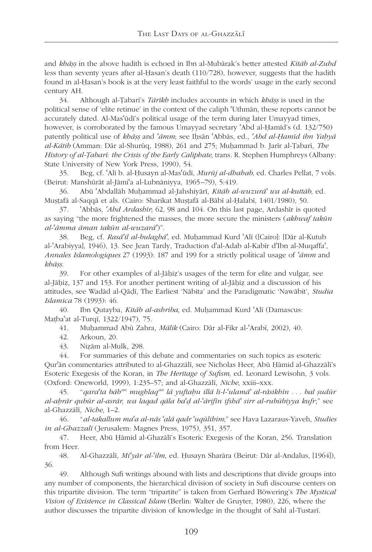and *khass* in the above hadith is echoed in Ibn al-Mubarak's better attested *Kitab al-Zuhd* less than seventy years after al-Hasan's death (110/728), however, suggests that the hadith found in al-Hasan's book is at the very least faithful to the words' usage in the early second century AH.

34. Although al-Tabari's *Tarikh* includes accounts in which *khass* is used in the political sense of 'elite retinue' in the context of the caliph 'Uthman, these reports cannot be accurately dated. Al-Mas'ūdī's political usage of the term during later Umayyad times, however, is corroborated by the famous Umayyad secretary 'Abd al-Hamid's (d. 132/750) patently political use of *khass* and *"amm*; see Ihsan 'Abbas, ed., "*Abd al-Hamid ibn Yahya al-Katib* (Amman: Dar al-Shuruq, 1988), 261 and 275; Muhammad b. Jarir al-Tabari, *The History of al-Tabari: the Crisis of the Early Caliphate*, trans. R. Stephen Humphreys (Albany: State University of New York Press, 1990), 54.

35. Beg, cf. 'Ali b. al-Husayn al-Mas'udi, *Muruj al-dhahab*, ed. Charles Pellat, 7 vols. (Beirut: Manshurat al-Jami'a al-Lubnaniyya, 1965–79), 5:419.

36. Abu 'Abdallah Muhammad al-Jahshiyari, *Kitab al-wuzura*" *wa al-kuttab*, ed. Mus†afa al-Saqqa et als. (Cairo: Sharikat Mus†afa al-Babi al-Halabi, 1401/1980), 50.

37. 'Abbas, "*Ahd Ardashir*; 62, 98 and 104. On this last page, Ardashir is quoted as saying "the more frightened the masses, the more secure the ministers (*akhwaf takun al-*"*amma aman takun al-wuzara*")".

38. Beg, cf. *Rasa*"*il al-bulagha*", ed. Muhammad Kurd 'Ali ([Cairo]: [Dar al-Kutub al-'Arabiyya], 1946), 13. See Jean Tardy, Traduction d'al-Adab al-Kabir d'Ibn al-Muqaffa', *Annales Islamologiques* 27 (1993): 187 and 199 for a strictly political usage of "*amm* and *khass*.

39. For other examples of al-Jahiz's usages of the term for elite and vulgar, see al-Jahiz, 137 and 153. For another pertinent writing of al-Jahiz and a discussion of his attitudes, see Wadad al-Qadi, The Earliest 'Nabita' and the Paradigmatic 'Nawabit', *Studia Islamica* 78 (1993): 46.

40. Ibn Qutayba, *Kitab al-ashriba*, ed. Muhammad Kurd 'Ali (Damascus: Ma†ba'at al-Turqi, 1322/1947), 75.

41. Muhammad Abu Zahra, *Malik* (Cairo: Dar al-Fikr al-'Arabi, 2002), 40.

42. Arkoun, 20.

43. Nizam al-Mulk, 298.

44. For summaries of this debate and commentaries on such topics as esoteric Qur'an commentaries attributed to al-Ghazzali, see Nicholas Heer, Abu Hamid al-Ghazzali's Esoteric Exegesis of the Koran, in *The Heritage of Sufism*, ed. Leonard Lewisohn, 3 vols. (Oxford: Oneworld, 1999), 1:235–57; and al-Ghazzali, *Niche*, xxiii–xxx.

45. "qara'ta bāb<sup>an</sup> mughlaq<sup>an</sup> lā yuftahu illā li-l-'ulamā' al-rāsikhīn ... bal sudūr al-ahrār qubūr al-asrār, wa laqad qāla ba'd al-'ārifīn ifshā' sirr al-rubūbiyya kufr;" see al-Ghazzali, *Niche*, 1–2.

46. "*al-takallum ma*"*a al-nas* "*ala qadr* "*uqulihim*;" see Hava Lazaraus-Yaveh, *Studies in al-Ghazzali* (Jerusalem: Magnes Press, 1975), 351, 357.

47. Heer, Abu Hamid al-Ghazali's Esoteric Exegesis of the Koran, 256. Translation from Heer.

48. Al-Ghazzali, *Mi*"*yar al-*"*ilm*, ed. Husayn Sharara (Beirut: Dar al-Andalus, [1964]), 36.

49. Although Sufi writings abound with lists and descriptions that divide groups into any number of components, the hierarchical division of society in Sufi discourse centers on this tripartite division. The term "tripartite" is taken from Gerhard Böwering's *The Mystical Vision of Existence in Classical Islam* (Berlin: Walter de Gruyter, 1980), 226, where the author discusses the tripartite division of knowledge in the thought of Sahl al-Tustari.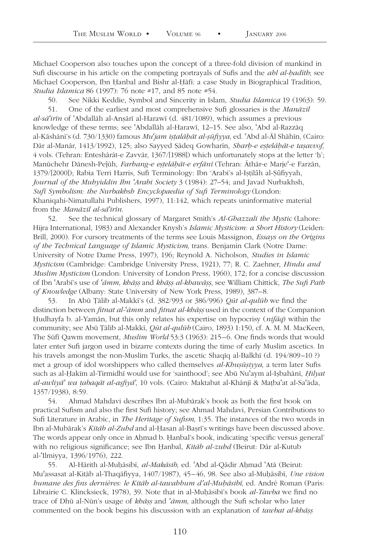Michael Cooperson also touches upon the concept of a three-fold division of mankind in Sufi discourse in his article on the competing portrayals of Sufis and the *ahl al-hadith*; see Michael Cooperson, Ibn Hanbal and Bishr al-Hafi: a case Study in Biographical Tradition, *Studia Islamica* 86 (1997): 76 note #17, and 85 note #54.

50. See Nikki Keddie, Symbol and Sincerity in Islam, *Studia Islamica* 19 (1963): 59.

51. One of the earliest and most comprehensive Sufi glossaries is the *Manazil al-sa*"*irin* of 'Abdallah al-Ansari al-Harawi (d. 481/1089), which assumes a previous knowledge of these terms; see 'Abdallah al-Harawi, 12–15. See also, 'Abd al-Razzaq al-Kashani's (d. 730/1330) famous *Mu*"*jam is†alahat al-sufiyya*, ed. 'Abd al-Al Shahin, (Cairo: Dar al-Manar, 1413/1992), 125; also Sayyed Sadeq Gowharin, *Sharh-e es†elahat-e tasavvof*, 4 vols. (Tehran: Entesharat-e Zavvar, 1367/[1988]) which unfortunately stops at the letter 'h'; Manuchehr Danesh-Pejuh, *Farhang-e es†elahat-e erfani* (Tehran: Athar-e Marje'-e Farzan, 1379/[2000]); Rabia Terri Harris, Sufi Terminology: Ibn 'Arabi's al-Is†ilâh al-Sûfiyyah, *Journal of the Muhyiddin Ibn* "*Arabi Society* 3 (1984): 27–54; and Javad Nurbakhsh, *Sufi Symbolism: the Nurbakhsh Encyclopaedia of Sufi Terminology* (London: Khaniqahi-Nimatullahi Publishers, 1997), 11:142, which repeats uninformative material from the *Manazil al-sa*"*irin*.

52. See the technical glossary of Margaret Smith's *Al-Ghazzali the Mystic* (Lahore: Hijra International, 1983) and Alexander Knysh's *Islamic Mysticism: a Short History* (Leiden: Brill, 2000). For cursory treatments of the terms see Louis Massignon, *Essays on the Origins of the Technical Language of Islamic Mysticism*, trans. Benjamin Clark (Notre Dame: University of Notre Dame Press, 1997), 196; Reynold A. Nicholson, *Studies in Islamic Mysticism* (Cambridge: Cambridge University Press, 1921), 77; R. C. Zaehner, *Hindu and Muslim Mysticism* (London: University of London Press, 1960), 172; for a concise discussion of Ibn 'Arabi's use of "*amm*, *khass* and *khass al-khawass*, see William Chittick, *The Sufi Path of Knowledge* (Albany: State University of New York Press, 1989), 387–8.

53. In Abu Talib al-Makki's (d. 382/993 or 386/996) *Qut al-qulub* we find the distinction between *fitnat al-*"*amm* and *fitnat al-khass* used in the context of the Companion Hudhayfa b. al-Yaman, but this only relates his expertise on hypocrisy (*nifaq*) within the community; see Abu Talib al-Makki, *Qut al-qulub* (Cairo, 1893) 1:150, cf. A. M. M. MacKeen, The Sufi Qawm movement, *Muslim World* 53:3 (1963): 215–6. One finds words that would later enter Sufi jargon used in bizarre contexts during the time of early Muslim ascetics. In his travels amongst the non-Muslim Turks, the ascetic Shaqiq al-Balkhi (d. 194/809–10 ?) met a group of idol worshippers who called themselves *al-Khususiyya*, a term later Sufis such as al-Hakim al-Tirmidhi would use for 'sainthood'; see Abu Nu'aym al-Isbahani, *Hilyat al-awliya*" *wa †abaqat al-asfiya*", 10 vols. (Cairo: Maktabat al-Khanji & Ma†ba'at al-Sa'ada, 1357/1938), 8:59.

54. Ahmad Mahdavi describes Ibn al-Mubarak's book as both the first book on practical Sufism and also the first Sufi history; see Ahmad Mahdavi, Persian Contributions to Sufi Literature in Arabic, in *The Heritage of Sufism*, 1:35. The instances of the two words in Ibn al-Mubarak's *Kitab al-Zuhd* and al-Hasan al-Basri's writings have been discussed above. The words appear only once in Ahmad b. Hanbal's book, indicating 'specific versus general' with no religious significance; see Ibn Hanbal, *Kitab al-zuhd* (Beirut: Dar al-Kutub al-'Ilmiyya, 1396/1976), 222.

55. Al-Harith al-Muhasibi, *al-Makasib*, ed. 'Abd al-Qadir Ahmad 'Ata (Beirut: Mu'assasat al-Kitab al-Thaqafiyya, 1407/1987), 45–46, 98. See also al-Muhasibi, *Une vision humane des fins dernières: le Kitab al-tawahhum d*"*al-Muhasibi*, ed. André Roman (Paris: Librairie C. Klincksieck, 1978), 39. Note that in al-Muhasibi's book *al-Tawba* we find no trace of Dhu al-Nun's usage of *khass* and "*amm*, although the Sufi scholar who later commented on the book begins his discussion with an explanation of *tawbat al-khass*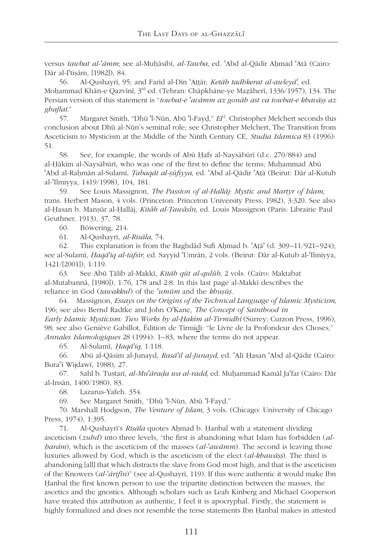versus *tawbat al-*"*amm*; see al-Muhasibi, *al-Tawba*, ed. 'Abd al-Qadir Ahmad 'Ata (Cairo: Dar al-I'tisam, [1982]), 84.

56. Al-Qushayri, 95; and Farid al-Din 'A††ar, *Ketab tadhkerat al-awleya*", ed. Mohammad Khan-e Qazvini, 3rd ed. (Tehran: Chapkhane-ye Mazaheri, 1336/1957), 134. The Persian version of this statement is "*towbat-e* "*avamm az gonah ast va towbat-e khavass az ghaflat*."

57. Margaret Smith, "Dhū 'l-Nūn, Abū 'l-Fayd," *EI*<sup>2</sup>. Christopher Melchert seconds this conclusion about Dhu al-Nun's seminal role; see Christopher Melchert, The Transition from Asceticism to Mysticism at the Middle of the Ninth Century CE, *Studia Islamica* 83 (1996): 51.

58. See, for example, the words of Abu Hafs al-Naysaburi (d.c. 270/884) and al-Hakim al-Naysaburi, who was one of the first to define the terms; Muhammad Abu 'Abd al-Rahman al-Sulami, *Tabaqat al-sufiyya*, ed. 'Abd al-Qadir 'A†a (Beirut: Dar al-Kutub al-'Ilmiyya, 1419/1998), 104, 181.

59. See Louis Massignon, *The Passion of al-Hallaj: Mystic and Martyr of Islam*, trans. Herbert Mason, 4 vols. (Princeton: Princeton University Press, 1982), 3:320. See also al-Hasan b. Mansur al-Hallaj, *Kitâb al-Tawâsîn*, ed. Louis Massignon (Paris: Librairie Paul Geuthner, 1913), 37, 78.

60. Böwering, 214.

61. Al-Qushayri, *al-Risala*, 74.

62. This explanation is from the Baghdad Sufi Ahmad b. 'Ata' (d.  $309-11/921-924$ ); see al-Sulami, *Haqa*"*iq al-tafsir*, ed. Sayyid 'Umran, 2 vols. (Beirut: Dar al-Kutub al-'Ilmiyya, 1421/[2001]), 1:119.

63. See Abu Talib al-Makki, *Kitab qut al-qulub*, 2 vols. (Cairo: Maktabat al-Mutabanna, [1980]), 1:76, 178 and 2:8. In this last page al-Makki describes the reliance in God (*tawakkul*) of the *"umum* and the *khusus.*

64. Massignon, *Essays on the Origins of the Technical Language of Islamic Mysticism*, 196; see also Bernd Radtke and John O'Kane, *The Concept of Sainthood in Early Islamic Mysticism: Two Works by al-Hakim al-Tirmidhi* (Surrey: Curzon Press, 1996), 98; see also Geniève Gabillot, Édition de Tirmidi: "le Livre de la Profondeur des Choses," *Annales Islamologiques* 28 (1994): 1–83, where the terms do not appear.

65. Al-Sulami, *Haqa*"*iq*, 1:118.

66. Abu al-Qasim al-Junayd, *Rasa*"*il al-Junayd*, ed. 'Ali Hasan 'Abd al-Qadir (Cairo: Bura'i Wijdawi, 1988), 27.

67. Sahl b. Tustari, *al-Mu"arada wa al-radd*, ed. Muhammad Kamal Ja'far (Cairo: Dar al-Insan, 1400/1980), 83.

68. Lazarus-Yafeh. 354.

69. See Margaret Smith, "Dhu 'l-Nun, Abu 'l-Fayd."

70. Marshall Hodgson, *The Venture of Islam*, 3 vols. (Chicago: University of Chicago Press, 1974), 1:395.

71. Al-Qushayri's *Risala* quotes Ahmad b. Hanbal with a statement dividing asceticism (*zuhd*) into three levels, "the first is abandoning what Islam has forbidden (*alharam*), which is the asceticism of the masses (*al-*"*awamm*). The second is leaving those luxuries allowed by God, which is the asceticism of the elect (*al-khawass*). The third is abandoning [all] that which distracts the slave from God most high, and that is the asceticism of the Knowers (*al-*"*arifin*)" (see al-Qushayri, 119). If this were authentic it would make Ibn Hanbal the first known person to use the tripartite distinction between the masses, the ascetics and the gnostics. Although scholars such as Leah Kinberg and Michael Cooperson have treated this attribution as authentic, I feel it is apocryphal. Firstly, the statement is highly formalized and does not resemble the terse statements Ibn Hanbal makes in attested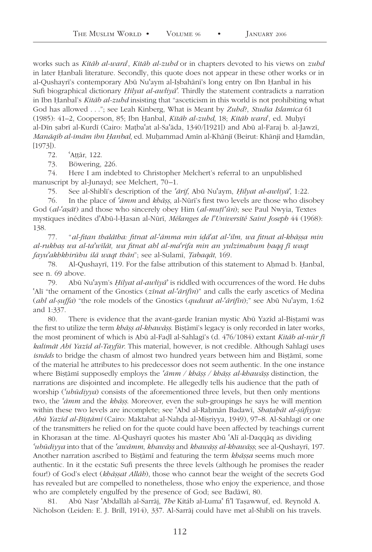works such as *Kitab al-wara*', *Kitab al-zuhd* or in chapters devoted to his views on *zuhd* in later Hanbali literature. Secondly, this quote does not appear in these other works or in al-Qushayri's contemporary Abu Nu'aym al-Isbahani's long entry on Ibn Hanbal in his Sufi biographical dictionary *Hilyat al-awliya*". Thirdly the statement contradicts a narration in Ibn Hanbal's *Kitab al-zuhd* insisting that "asceticism in this world is not prohibiting what God has allowed . . ."; see Leah Kinberg, What is Meant by *Zuhd*?, *Studia Islamica* 61 (1985): 41–2, Cooperson, 85; Ibn Hanbal, *Kitab al-zuhd*, 18; *Kitab wara*', ed. Muhyi al-Din sabri al-Kurdi (Cairo: Ma†ba'at al-Sa'ada, 1340/[1921]) and Abu al-Faraj b. al-Jawzi, *Manaqib al-imam ibn Hanbal*, ed. Muhammad Amin al-Khanji (Beirut: Khanji and Hamdan, [1973]).

72. 'Attār, 122.

73. Böwering, 226.

74. Here I am indebted to Christopher Melchert's referral to an unpublished manuscript by al-Junayd; see Melchert, 70–1.

75. See al-Shibli's description of the "*arif*, Abu Nu'aym, *Hilyat al-awliya*", 1:22.

76. In the place of "*amm* and *khass*, al-Nuri's first two levels are those who disobey God (*al-*"*asat*) and those who sincerely obey Him (*al-mu†i*"*un*); see Paul Nwyia, Textes mystiques inédites d'Abu-l-Hasan al-Nuri, *Mélanges de l"Université Saint Joseph* 44 (1968): 138.

77. "*al-fitan thalatha: fitnat al-*"*amma min ida*"*at al-*"*ilm, wa fitnat al-khassa min al-rukhas wa al-ta*"*wilat, wa fitnat ahl al-ma*"*rifa min an yulzimahum haqq fi waqt fayu*"*akhkhiruhu ila waqt than*"; see al-Sulami, *Tabaqat*, 169.

78. Al-Qushayri, 119. For the false attribution of this statement to Ahmad b. Hanbal, see n. 69 above.

79. Abu Nu'aym's *Hilyat al-awliya*' is riddled with occurrences of the word. He dubs 'Ali "the ornament of the Gnostics (*zinat al-*"*arifin*)" and calls the early ascetics of Medina (*ahl al-suffa*) "the role models of the Gnostics (*qudwat al-*"*arifin*);" see Abu Nu'aym, 1:62 and 1:337.

80. There is evidence that the avant-garde Iranian mystic Abu Yazid al-Bis†ami was the first to utilize the term *khass al-khawass*. Bis†ami's legacy is only recorded in later works, the most prominent of which is Abu al-Fadl al-Sahlagi's (d. 476/1084) extant *Kitab al-nur fi kalimat Abi Yazid al-Tayfur*. This material, however, is not credible. Although Sahlagi uses *isnads* to bridge the chasm of almost two hundred years between him and Bistami, some of the material he attributes to his predecessor does not seem authentic. In the one instance where Bis†ami supposedly employs the "*amm / khass / khass al-khawass* distinction, the narrations are disjointed and incomplete. He allegedly tells his audience that the path of worship ("*ubudiyya*) consists of the aforementioned three levels, but then only mentions two, the "*amm* and the *khass*. Moreover, even the sub-groupings he says he will mention within these two levels are incomplete; see 'Abd al-Rahman Badawi, *Sha†ahat al-sufiyya: Abu Yazid al-Bis†ami* (Cairo: Maktabat al-Nahda al-Misriyya, 1949), 97–8. Al-Sahlagi or one of the transmitters he relied on for the quote could have been affected by teachings current in Khorasan at the time. Al-Qushayri quotes his master Abu 'Ali al-Daqqaq as dividing "*ubudiyya* into that of the "*awamm*, *khawass* and *khawass al-khawass*; see al-Qushayri, 197. Another narration ascribed to Bis†ami and featuring the term *khassa* seems much more authentic. In it the ecstatic Sufi presents the three levels (although he promises the reader four!) of God's elect (*khassat Allah*), those who cannot bear the weight of the secrets God has revealed but are compelled to nonetheless, those who enjoy the experience, and those who are completely engulfed by the presence of God; see Badawi, 80.

81. Abu Nasr 'Abdallah al-Sarraj, *The* Kitáb al-Luma' fi'l Tasawwuf, ed. Reynold A. Nicholson (Leiden: E. J. Brill, 1914), 337. Al-Sarraj could have met al-Shibli on his travels.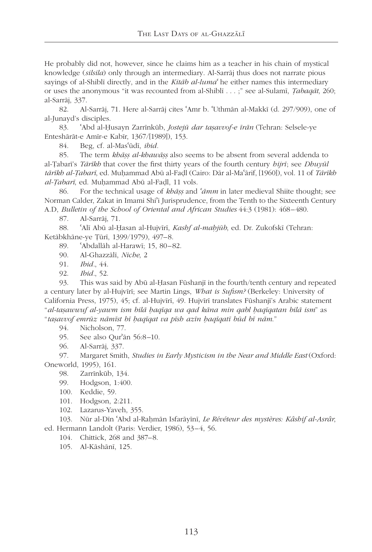He probably did not, however, since he claims him as a teacher in his chain of mystical knowledge (*silsila*) only through an intermediary. Al-Sarraj thus does not narrate pious sayings of al-Shibli directly, and in the *Kitab al-luma*" he either names this intermediary or uses the anonymous "it was recounted from al-Shibli . . . ;" see al-Sulami, *Tabaqat*, 260; al-Sarraj, 337.

82. Al-Sarraj, 71. Here al-Sarraj cites 'Amr b. 'Uthman al-Makki (d. 297/909), one of al-Junayd's disciples.

83. 'Abd al-Husayn Zarrinkub, *Josteju dar tasavvof-e iran* (Tehran: Selsele-ye Entesharat-e Amir-e Kabir, 1367/[1989]), 153.

84. Beg, cf. al-Mas'udi, *ibid.*

85. The term *khass al-khawass* also seems to be absent from several addenda to al-Tabari's *Tarikh* that cover the first thirty years of the fourth century *hijri*; see *Dhuyul tarikh al-Tabari*, ed. Muhammad Abu al-Fadl (Cairo: Dar al-Ma'arif, [1960]), vol. 11 of *Tarikh al-Tabari*, ed. Muhammad Abu al-Fadl, 11 vols.

86. For the technical usage of *khass* and *"amm* in later medieval Shiite thought; see Norman Calder, Zakat in Imami Shi'i Jurisprudence, from the Tenth to the Sixteenth Century A.D, *Bulletin of the School of Oriental and African Studies* 44:3 (1981): 468–480.

87. Al-Sarraj, 71.

88. 'Ali Abu al-Hasan al-Hujviri, *Kashf al-mahjub*, ed. Dr. Zukofski (Tehran: Ketabkhane-ye Turi, 1399/1979), 497–8.

89. 'Abdallah al-Harawi; 15, 80–82.

90. Al-Ghazzali, *Niche*, 2

91. *Ibid.*, 44.

92. *Ibid.*, 52.

93. This was said by Abu al-Hasan Fushanji in the fourth/tenth century and repeated a century later by al-Hujviri; see Martin Lings, *What is Sufism?* (Berkeley: University of California Press, 1975), 45; cf. al-Hujviri, 49. Hujviri translates Fushanji's Arabic statement "*al-tasawwuf al-yawm ism bila haqiqa wa qad kana min qabl haqiqatan bila ism*" as "tasavvof emrūz nāmīst bī haqīqat va pīsh azīn haqīqatī būd bī nām."

94. Nicholson, 77.

95. See also Qur'an 56:8–10.

96. Al-Sarraj, 337.

97. Margaret Smith, *Studies in Early Mysticism in the Near and Middle East* (Oxford: Oneworld, 1995), 161.

98. Zarrinkub, 134.

99. Hodgson, 1:400.

100. Keddie, 59.

101. Hodgson, 2:211.

102. Lazarus-Yaveh, 355.

103. Nur al-Din 'Abd al-Rahman Isfarayini, *Le Révéteur des mystères: Kâshif al-Asrâr*, ed. Hermann Landolt (Paris: Verdier, 1986), 53–4, 56.

104. Chittick, 268 and 387–8.

105. Al-Kashani, 125.